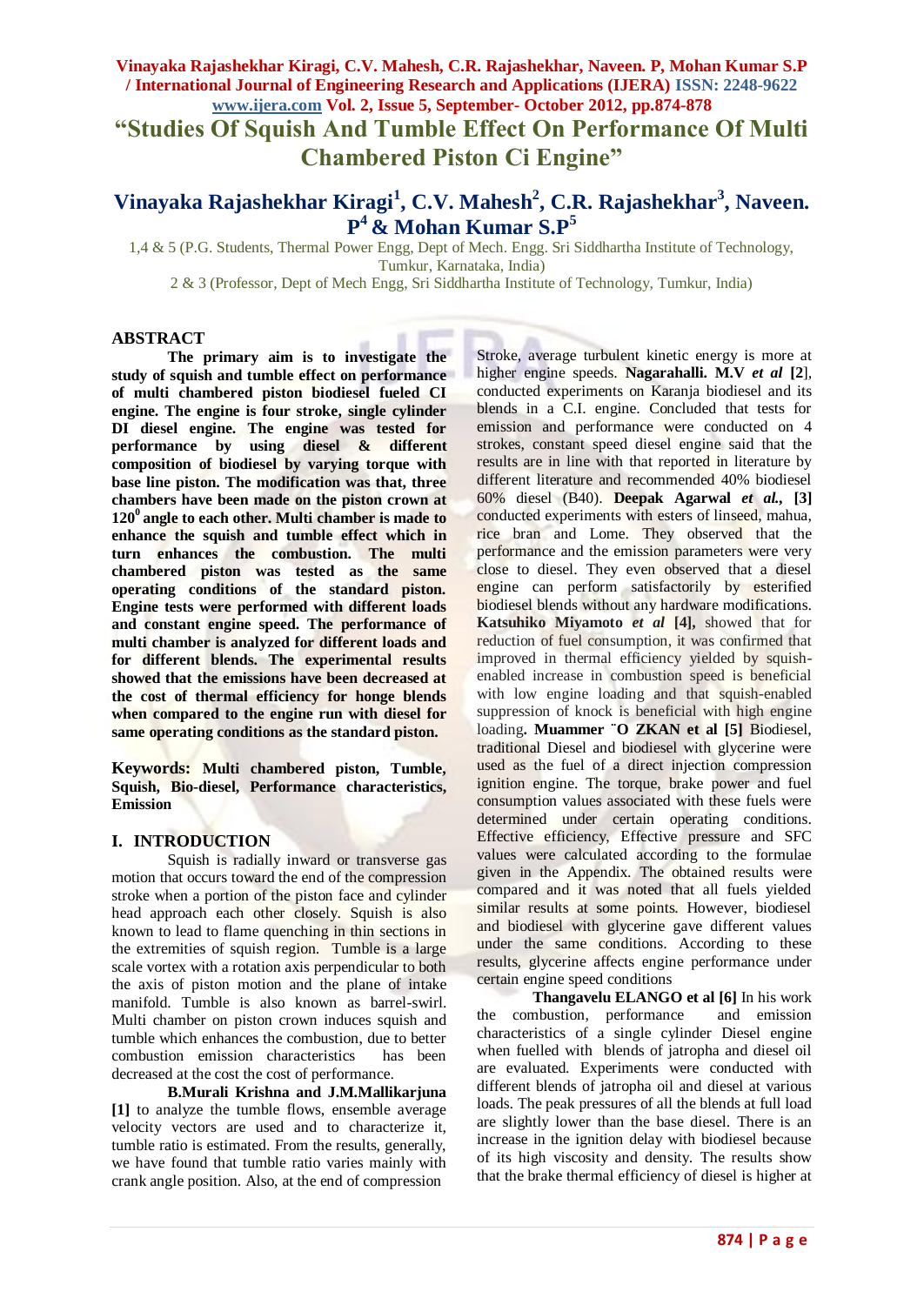**"Studies Of Squish And Tumble Effect On Performance Of Multi Chambered Piston Ci Engine"**

# **Vinayaka Rajashekhar Kiragi<sup>1</sup> , C.V. Mahesh<sup>2</sup> , C.R. Rajashekhar<sup>3</sup> , Naveen. P <sup>4</sup>& Mohan Kumar S.P<sup>5</sup>**

1,4 & 5 (P.G. Students, Thermal Power Engg, Dept of Mech. Engg. Sri Siddhartha Institute of Technology, Tumkur, Karnataka, India)

2 & 3 (Professor, Dept of Mech Engg, Sri Siddhartha Institute of Technology, Tumkur, India)

#### **ABSTRACT**

**The primary aim is to investigate the study of squish and tumble effect on performance of multi chambered piston biodiesel fueled CI engine. The engine is four stroke, single cylinder DI diesel engine. The engine was tested for performance by using diesel & different composition of biodiesel by varying torque with base line piston. The modification was that, three chambers have been made on the piston crown at 120<sup>0</sup>angle to each other. Multi chamber is made to enhance the squish and tumble effect which in turn enhances the combustion. The multi chambered piston was tested as the same operating conditions of the standard piston. Engine tests were performed with different loads and constant engine speed. The performance of multi chamber is analyzed for different loads and for different blends. The experimental results showed that the emissions have been decreased at the cost of thermal efficiency for honge blends when compared to the engine run with diesel for same operating conditions as the standard piston.**

**Keywords: Multi chambered piston, Tumble, Squish, Bio-diesel, Performance characteristics, Emission**

# **I. INTRODUCTION**

Squish is radially inward or transverse gas motion that occurs toward the end of the compression stroke when a portion of the piston face and cylinder head approach each other closely. Squish is also known to lead to flame quenching in thin sections in the extremities of squish region. Tumble is a large scale vortex with a rotation axis perpendicular to both the axis of piston motion and the plane of intake manifold. Tumble is also known as barrel-swirl. Multi chamber on piston crown induces squish and tumble which enhances the combustion, due to better combustion emission characteristics has been decreased at the cost the cost of performance.

**B.Murali Krishna and J.M.Mallikarjuna [1]** to analyze the tumble flows, ensemble average velocity vectors are used and to characterize it, tumble ratio is estimated. From the results, generally, we have found that tumble ratio varies mainly with crank angle position. Also, at the end of compression

Stroke, average turbulent kinetic energy is more at higher engine speeds. **Nagarahalli. M.V** *et al* **[2**]*,*  conducted experiments on Karanja biodiesel and its blends in a C.I. engine. Concluded that tests for emission and performance were conducted on 4 strokes, constant speed diesel engine said that the results are in line with that reported in literature by different literature and recommended 40% biodiesel 60% diesel (B40). **Deepak Agarwal** *et al.,* **[3]** conducted experiments with esters of linseed, mahua, rice bran and Lome. They observed that the performance and the emission parameters were very close to diesel. They even observed that a diesel engine can perform satisfactorily by esterified biodiesel blends without any hardware modifications. **Katsuhiko Miyamoto** *et al* **[4],** showed that for reduction of fuel consumption, it was confirmed that improved in thermal efficiency yielded by squishenabled increase in combustion speed is beneficial with low engine loading and that squish-enabled suppression of knock is beneficial with high engine loading**. Muammer ¨O ZKAN et al [5]** Biodiesel, traditional Diesel and biodiesel with glycerine were used as the fuel of a direct injection compression ignition engine. The torque, brake power and fuel consumption values associated with these fuels were determined under certain operating conditions. Effective efficiency, Effective pressure and SFC values were calculated according to the formulae given in the Appendix. The obtained results were compared and it was noted that all fuels yielded similar results at some points. However, biodiesel and biodiesel with glycerine gave different values under the same conditions. According to these results, glycerine affects engine performance under certain engine speed conditions

**Thangavelu ELANGO et al [6]** In his work the combustion, performance and emission characteristics of a single cylinder Diesel engine when fuelled with blends of jatropha and diesel oil are evaluated. Experiments were conducted with different blends of jatropha oil and diesel at various loads. The peak pressures of all the blends at full load are slightly lower than the base diesel. There is an increase in the ignition delay with biodiesel because of its high viscosity and density. The results show that the brake thermal efficiency of diesel is higher at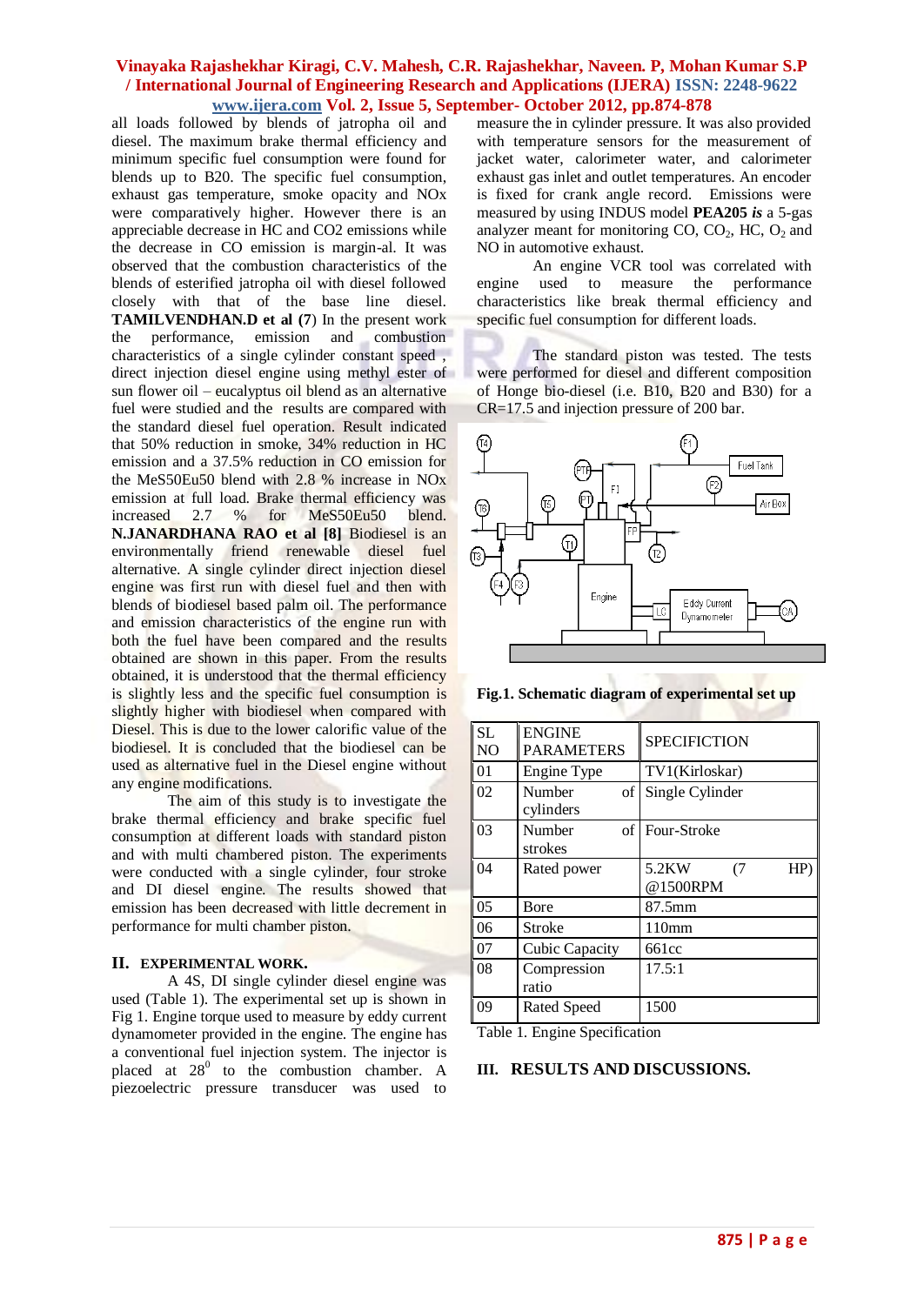all loads followed by blends of jatropha oil and diesel. The maximum brake thermal efficiency and minimum specific fuel consumption were found for blends up to B20. The specific fuel consumption, exhaust gas temperature, smoke opacity and NOx were comparatively higher. However there is an appreciable decrease in HC and CO2 emissions while the decrease in CO emission is margin-al. It was observed that the combustion characteristics of the blends of esterified jatropha oil with diesel followed closely with that of the base line diesel. **TAMILVENDHAN.D et al (7**) In the present work the performance, emission and combustion characteristics of a single cylinder constant speed , direct injection diesel engine using methyl ester of sun flower oil – eucalyptus oil blend as an alternative fuel were studied and the results are compared with the standard diesel fuel operation. Result indicated that 50% reduction in smoke, 34% reduction in HC emission and a 37.5% reduction in CO emission for the MeS50Eu50 blend with 2.8 % increase in NOx emission at full load. Brake thermal efficiency was increased 2.7 % for MeS50Eu50 blend. **N.JANARDHANA RAO et al [8]** Biodiesel is an environmentally friend renewable diesel fuel alternative. A single cylinder direct injection diesel engine was first run with diesel fuel and then with blends of biodiesel based palm oil. The performance and emission characteristics of the engine run with both the fuel have been compared and the results obtained are shown in this paper. From the results obtained, it is understood that the thermal efficiency is slightly less and the specific fuel consumption is slightly higher with biodiesel when compared with Diesel. This is due to the lower calorific value of the biodiesel. It is concluded that the biodiesel can be used as alternative fuel in the Diesel engine without any engine modifications.

The aim of this study is to investigate the brake thermal efficiency and brake specific fuel consumption at different loads with standard piston and with multi chambered piston. The experiments were conducted with a single cylinder, four stroke and DI diesel engine. The results showed that emission has been decreased with little decrement in performance for multi chamber piston.

#### **II. EXPERIMENTAL WORK.**

A 4S, DI single cylinder diesel engine was used (Table 1). The experimental set up is shown in Fig 1. Engine torque used to measure by eddy current dynamometer provided in the engine. The engine has a conventional fuel injection system. The injector is placed at  $28^0$  to the combustion chamber. A piezoelectric pressure transducer was used to measure the in cylinder pressure. It was also provided with temperature sensors for the measurement of jacket water, calorimeter water, and calorimeter exhaust gas inlet and outlet temperatures. An encoder is fixed for crank angle record. Emissions were measured by using INDUS model **PEA205** *is* a 5-gas analyzer meant for monitoring  $CO$ ,  $CO<sub>2</sub>$ , HC,  $O<sub>2</sub>$  and NO in automotive exhaust.

An engine VCR tool was correlated with engine used to measure the performance characteristics like break thermal efficiency and specific fuel consumption for different loads.

The standard piston was tested. The tests were performed for diesel and different composition of Honge bio-diesel (i.e. B10, B20 and B30) for a CR=17.5 and injection pressure of 200 bar.



**Fig.1. Schematic diagram of experimental set up**

|  | <b>SL</b><br>N <sub>O</sub> | <b>ENGINE</b><br><b>PARAMETERS</b> | <b>SPECIFICTION</b>            |
|--|-----------------------------|------------------------------------|--------------------------------|
|  | 01                          | Engine Type                        | TV1(Kirloskar)                 |
|  | 02                          | Number<br>of<br>cylinders          | Single Cylinder                |
|  | 03                          | Number<br>strokes                  | of Four-Stroke                 |
|  | 04                          | Rated power                        | 5.2KW<br>(7)<br>HP<br>@1500RPM |
|  | 0 <sub>5</sub>              | Bore                               | 87.5mm                         |
|  | 06                          | Stroke                             | 110 <sub>mm</sub>              |
|  | 07                          | Cubic Capacity                     | 661cc                          |
|  | 08                          | Compression<br>ratio               | 17.5:1                         |
|  | 09                          | <b>Rated Speed</b>                 | 1500                           |

Table 1. Engine Specification

#### **III. RESULTS AND DISCUSSIONS.**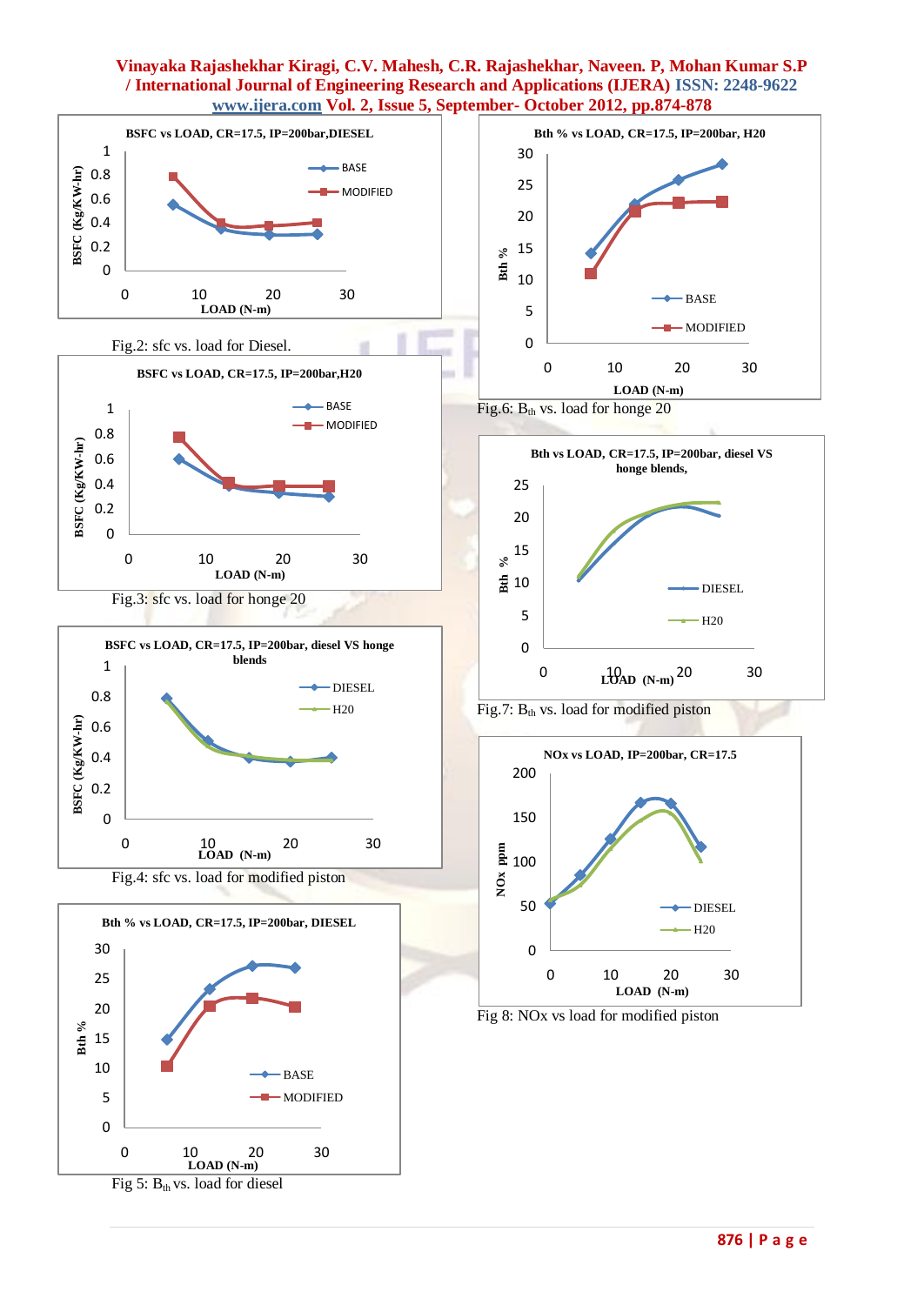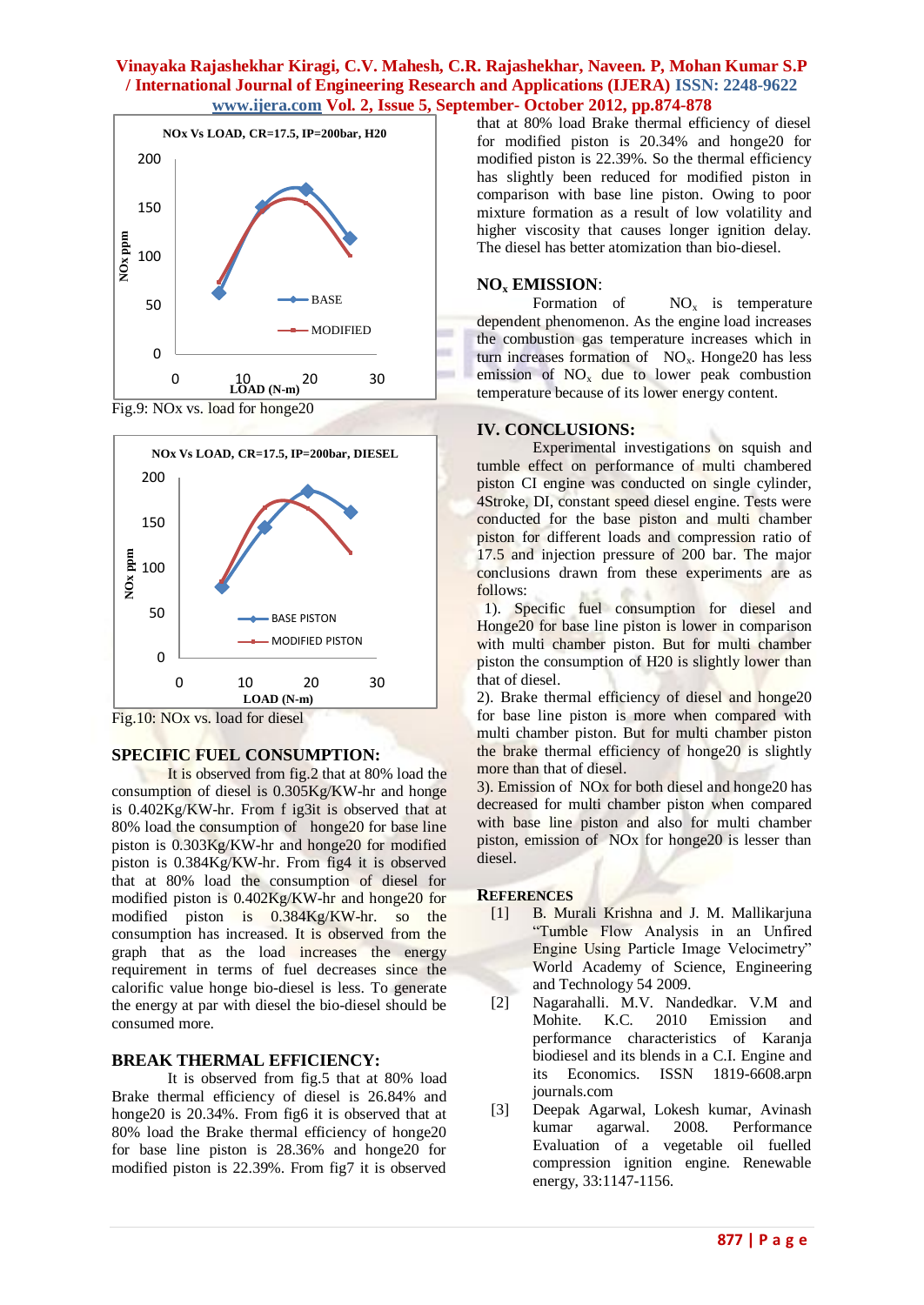



Fig.10: NOx vs. load for diesel

# **SPECIFIC FUEL CONSUMPTION:**

It is observed from fig.2 that at 80% load the consumption of diesel is 0.305Kg/KW-hr and honge is 0.402Kg/KW-hr. From f ig3it is observed that at 80% load the consumption of honge20 for base line piston is 0.303Kg/KW-hr and honge20 for modified piston is 0.384Kg/KW-hr. From fig4 it is observed that at 80% load the consumption of diesel for modified piston is 0.402Kg/KW-hr and honge20 for modified piston is 0.384Kg/KW-hr. so the consumption has increased. It is observed from the graph that as the load increases the energy requirement in terms of fuel decreases since the calorific value honge bio-diesel is less. To generate the energy at par with diesel the bio-diesel should be consumed more.

# **BREAK THERMAL EFFICIENCY:**

It is observed from fig.5 that at 80% load Brake thermal efficiency of diesel is 26.84% and honge20 is 20.34%. From fig6 it is observed that at 80% load the Brake thermal efficiency of honge20 for base line piston is 28.36% and honge20 for modified piston is 22.39%. From fig7 it is observed

that at 80% load Brake thermal efficiency of diesel for modified piston is 20.34% and honge20 for modified piston is 22.39%. So the thermal efficiency has slightly been reduced for modified piston in comparison with base line piston. Owing to poor mixture formation as a result of low volatility and higher viscosity that causes longer ignition delay. The diesel has better atomization than bio-diesel.

## **NO<sup>x</sup> EMISSION**:

Formation of  $NO_x$  is temperature dependent phenomenon. As the engine load increases the combustion gas temperature increases which in turn increases formation of  $NO<sub>x</sub>$ . Honge20 has less emission of  $NO<sub>x</sub>$  due to lower peak combustion temperature because of its lower energy content.

## **IV. CONCLUSIONS:**

Experimental investigations on squish and tumble effect on performance of multi chambered piston CI engine was conducted on single cylinder, 4Stroke, DI, constant speed diesel engine. Tests were conducted for the base piston and multi chamber piston for different loads and compression ratio of 17.5 and injection pressure of 200 bar. The major conclusions drawn from these experiments are as follows:

 1). Specific fuel consumption for diesel and Honge20 for base line piston is lower in comparison with multi chamber piston. But for multi chamber piston the consumption of H20 is slightly lower than that of diesel.

2). Brake thermal efficiency of diesel and honge20 for base line piston is more when compared with multi chamber piston. But for multi chamber piston the brake thermal efficiency of honge20 is slightly more than that of diesel.

3). Emission of NOx for both diesel and honge20 has decreased for multi chamber piston when compared with base line piston and also for multi chamber piston, emission of NOx for honge20 is lesser than diesel.

#### **REFERENCES**

- [1] B. Murali Krishna and J. M. Mallikarjuna "Tumble Flow Analysis in an Unfired Engine Using Particle Image Velocimetry" World Academy of Science, Engineering and Technology 54 2009.
- [2] Nagarahalli. M.V. Nandedkar. V.M and Mohite. K.C. 2010 Emission and performance characteristics of Karanja biodiesel and its blends in a C.I. Engine and its Economics. ISSN 1819-6608.arpn journals.com
- [3] Deepak Agarwal, Lokesh kumar, Avinash kumar agarwal. 2008. Performance Evaluation of a vegetable oil fuelled compression ignition engine. Renewable energy, 33:1147-1156.